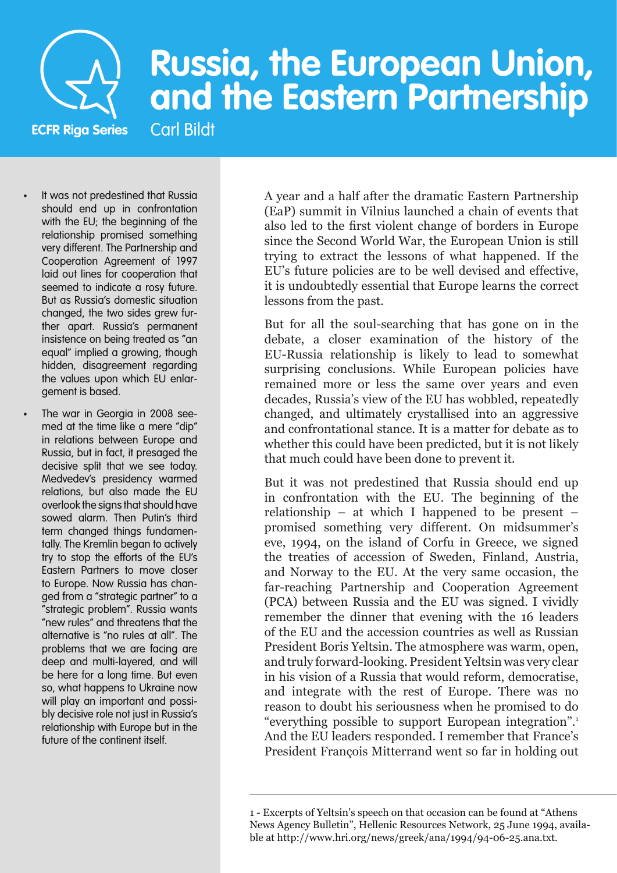

# **Russia, the European Union, and the Eastern Partnership**

**ECFR Riga Series** Carl Bildt

- It was not predestined that Russia should end up in confrontation with the EU; the beginning of the relationship promised something very different. The Partnership and Cooperation Agreement of 1997 laid out lines for cooperation that seemed to indicate a rosy future. But as Russia's domestic situation changed, the two sides grew further apart. Russia's permanent insistence on being treated as "an equal" implied a growing, though hidden, disagreement regarding the values upon which EU enlargement is based.
- The war in Georgia in 2008 seemed at the time like a mere "dip" in relations between Europe and Russia, but in fact, it presaged the decisive split that we see today. Medvedev's presidency warmed relations, but also made the EU overlook the signs that should have sowed alarm. Then Putin's third term changed things fundamentally. The Kremlin began to actively try to stop the efforts of the EU's Eastern Partners to move closer to Europe. Now Russia has changed from a "strategic partner" to a "strategic problem". Russia wants "new rules" and threatens that the alternative is "no rules at all". The problems that we are facing are deep and multi-layered, and will be here for a long time. But even so, what happens to Ukraine now will play an important and possibly decisive role not just in Russia's relationship with Europe but in the future of the continent itself.

A year and a half after the dramatic Eastern Partnership (EaP) summit in Vilnius launched a chain of events that also led to the first violent change of borders in Europe since the Second World War, the European Union is still trying to extract the lessons of what happened. If the EU's future policies are to be well devised and effective, it is undoubtedly essential that Europe learns the correct lessons from the past.

But for all the soul-searching that has gone on in the debate, a closer examination of the history of the EU-Russia relationship is likely to lead to somewhat surprising conclusions. While European policies have remained more or less the same over years and even decades, Russia's view of the EU has wobbled, repeatedly changed, and ultimately crystallised into an aggressive and confrontational stance. It is a matter for debate as to whether this could have been predicted, but it is not likely that much could have been done to prevent it.

But it was not predestined that Russia should end up in confrontation with the EU. The beginning of the relationship – at which I happened to be present – promised something very different. On midsummer's eve, 1994, on the island of Corfu in Greece, we signed the treaties of accession of Sweden, Finland, Austria, and Norway to the EU. At the very same occasion, the far-reaching Partnership and Cooperation Agreement (PCA) between Russia and the EU was signed. I vividly remember the dinner that evening with the 16 leaders of the EU and the accession countries as well as Russian President Boris Yeltsin. The atmosphere was warm, open, and truly forward-looking. President Yeltsin was very clear in his vision of a Russia that would reform, democratise, and integrate with the rest of Europe. There was no reason to doubt his seriousness when he promised to do "everything possible to support European integration".1 And the EU leaders responded. I remember that France's President François Mitterrand went so far in holding out

<sup>1</sup> - Excerpts of Yeltsin's speech on that occasion can be found at "Athens News Agency Bulletin", Hellenic Resources Network, 25 June 1994, available at http://www.hri.org/news/greek/ana/1994/94-06-25.ana.txt.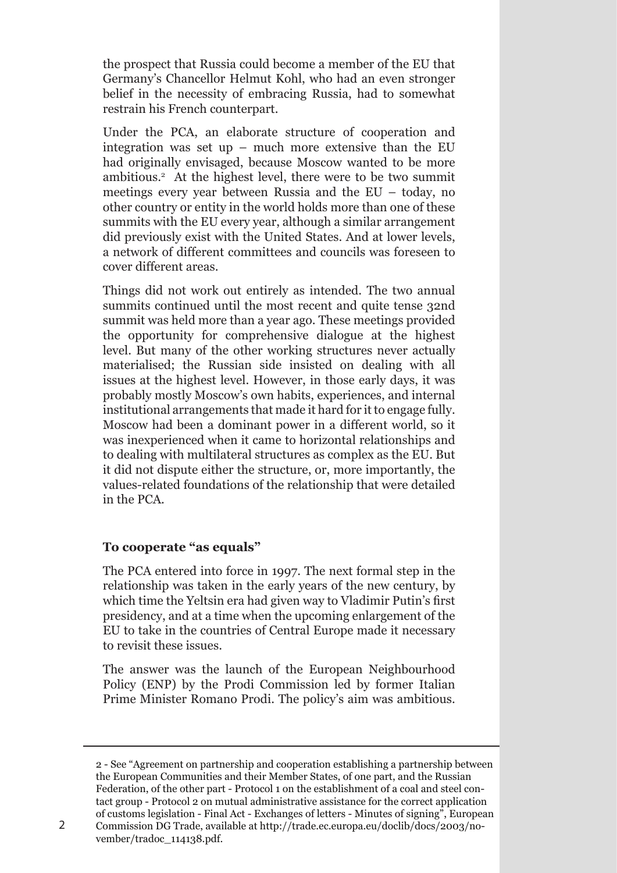the prospect that Russia could become a member of the EU that Germany's Chancellor Helmut Kohl, who had an even stronger belief in the necessity of embracing Russia, had to somewhat restrain his French counterpart.

Under the PCA, an elaborate structure of cooperation and integration was set up – much more extensive than the EU had originally envisaged, because Moscow wanted to be more ambitious.2 At the highest level, there were to be two summit meetings every year between Russia and the EU – today, no other country or entity in the world holds more than one of these summits with the EU every year, although a similar arrangement did previously exist with the United States. And at lower levels, a network of different committees and councils was foreseen to cover different areas.

Things did not work out entirely as intended. The two annual summits continued until the most recent and quite tense 32nd summit was held more than a year ago. These meetings provided the opportunity for comprehensive dialogue at the highest level. But many of the other working structures never actually materialised; the Russian side insisted on dealing with all issues at the highest level. However, in those early days, it was probably mostly Moscow's own habits, experiences, and internal institutional arrangements that made it hard for it to engage fully. Moscow had been a dominant power in a different world, so it was inexperienced when it came to horizontal relationships and to dealing with multilateral structures as complex as the EU. But it did not dispute either the structure, or, more importantly, the values-related foundations of the relationship that were detailed in the PCA.

## **To cooperate "as equals"**

vember/tradoc\_114138.pdf.

The PCA entered into force in 1997. The next formal step in the relationship was taken in the early years of the new century, by which time the Yeltsin era had given way to Vladimir Putin's first presidency, and at a time when the upcoming enlargement of the EU to take in the countries of Central Europe made it necessary to revisit these issues.

The answer was the launch of the European Neighbourhood Policy (ENP) by the Prodi Commission led by former Italian Prime Minister Romano Prodi. The policy's aim was ambitious.

<sup>2</sup> - See "Agreement on partnership and cooperation establishing a partnership between the European Communities and their Member States, of one part, and the Russian Federation, of the other part - Protocol 1 on the establishment of a coal and steel contact group - Protocol 2 on mutual administrative assistance for the correct application of customs legislation - Final Act - Exchanges of letters - Minutes of signing", European Commission DG Trade, available at http://trade.ec.europa.eu/doclib/docs/2003/no-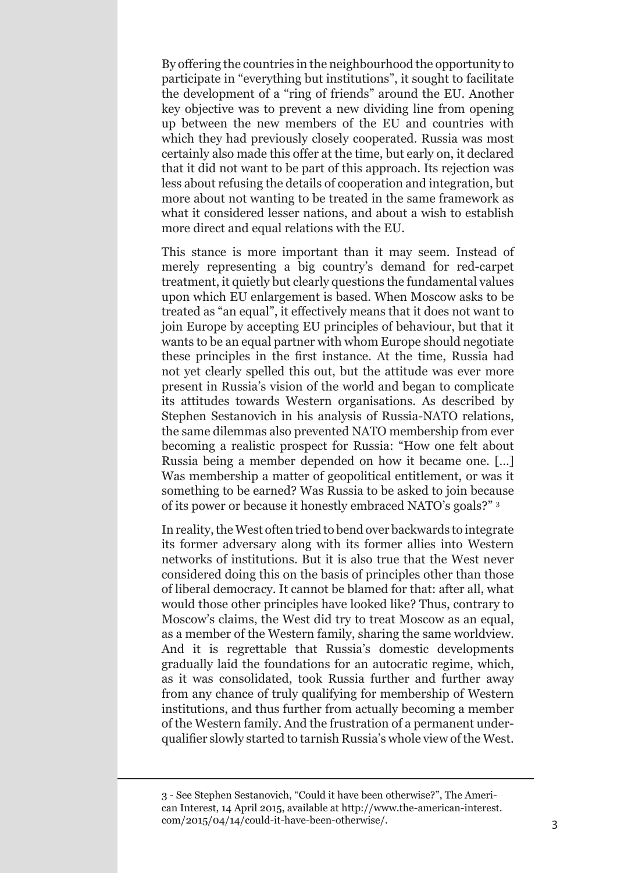By offering the countries in the neighbourhood the opportunity to participate in "everything but institutions", it sought to facilitate the development of a "ring of friends" around the EU. Another key objective was to prevent a new dividing line from opening up between the new members of the EU and countries with which they had previously closely cooperated. Russia was most certainly also made this offer at the time, but early on, it declared that it did not want to be part of this approach. Its rejection was less about refusing the details of cooperation and integration, but more about not wanting to be treated in the same framework as what it considered lesser nations, and about a wish to establish more direct and equal relations with the EU.

This stance is more important than it may seem. Instead of merely representing a big country's demand for red-carpet treatment, it quietly but clearly questions the fundamental values upon which EU enlargement is based. When Moscow asks to be treated as "an equal", it effectively means that it does not want to join Europe by accepting EU principles of behaviour, but that it wants to be an equal partner with whom Europe should negotiate these principles in the first instance. At the time, Russia had not yet clearly spelled this out, but the attitude was ever more present in Russia's vision of the world and began to complicate its attitudes towards Western organisations. As described by Stephen Sestanovich in his analysis of Russia-NATO relations, the same dilemmas also prevented NATO membership from ever becoming a realistic prospect for Russia: "How one felt about Russia being a member depended on how it became one. […] Was membership a matter of geopolitical entitlement, or was it something to be earned? Was Russia to be asked to join because of its power or because it honestly embraced NATO's goals?" <sup>3</sup>

In reality, the West often tried to bend over backwards to integrate its former adversary along with its former allies into Western networks of institutions. But it is also true that the West never considered doing this on the basis of principles other than those of liberal democracy. It cannot be blamed for that: after all, what would those other principles have looked like? Thus, contrary to Moscow's claims, the West did try to treat Moscow as an equal, as a member of the Western family, sharing the same worldview. And it is regrettable that Russia's domestic developments gradually laid the foundations for an autocratic regime, which, as it was consolidated, took Russia further and further away from any chance of truly qualifying for membership of Western institutions, and thus further from actually becoming a member of the Western family. And the frustration of a permanent underqualifier slowly started to tarnish Russia's whole view of the West.

<sup>3</sup> - See Stephen Sestanovich, "Could it have been otherwise?", The American Interest, 14 April 2015, available at http://www.the-american-interest. com/2015/04/14/could-it-have-been-otherwise/. 3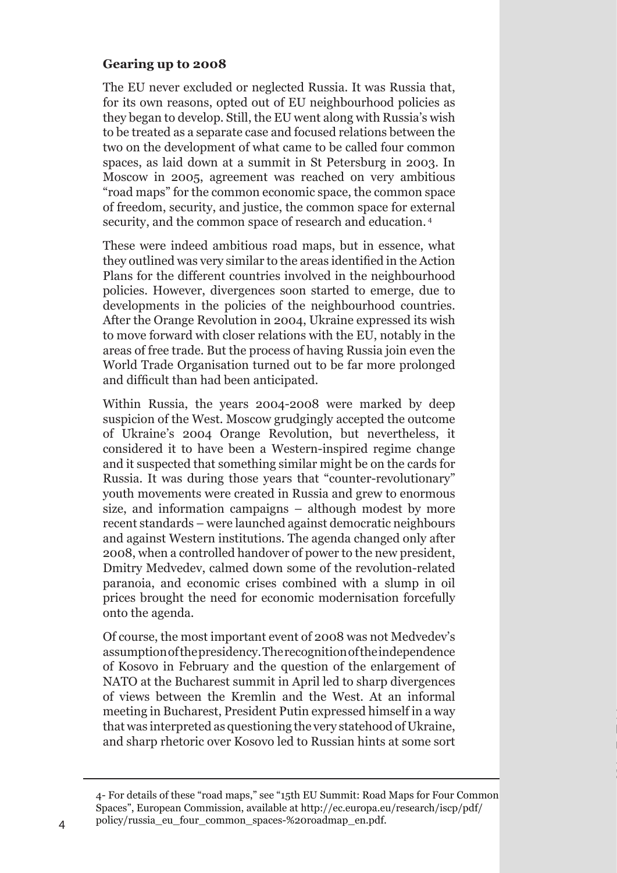## **Gearing up to 2008**

The EU never excluded or neglected Russia. It was Russia that, for its own reasons, opted out of EU neighbourhood policies as they began to develop. Still, the EU went along with Russia's wish to be treated as a separate case and focused relations between the two on the development of what came to be called four common spaces, as laid down at a summit in St Petersburg in 2003. In Moscow in 2005, agreement was reached on very ambitious "road maps" for the common economic space, the common space of freedom, security, and justice, the common space for external security, and the common space of research and education. <sup>4</sup>

These were indeed ambitious road maps, but in essence, what they outlined was very similar to the areas identified in the Action Plans for the different countries involved in the neighbourhood policies. However, divergences soon started to emerge, due to developments in the policies of the neighbourhood countries. After the Orange Revolution in 2004, Ukraine expressed its wish to move forward with closer relations with the EU, notably in the areas of free trade. But the process of having Russia join even the World Trade Organisation turned out to be far more prolonged and difficult than had been anticipated.

Within Russia, the years 2004-2008 were marked by deep suspicion of the West. Moscow grudgingly accepted the outcome of Ukraine's 2004 Orange Revolution, but nevertheless, it considered it to have been a Western-inspired regime change and it suspected that something similar might be on the cards for Russia. It was during those years that "counter-revolutionary" youth movements were created in Russia and grew to enormous size, and information campaigns – although modest by more recent standards – were launched against democratic neighbours and against Western institutions. The agenda changed only after 2008, when a controlled handover of power to the new president, Dmitry Medvedev, calmed down some of the revolution-related paranoia, and economic crises combined with a slump in oil prices brought the need for economic modernisation forcefully onto the agenda.

Of course, the most important event of 2008 was not Medvedev's assumptionofthepresidency.Therecognitionoftheindependence of Kosovo in February and the question of the enlargement of NATO at the Bucharest summit in April led to sharp divergences of views between the Kremlin and the West. At an informal meeting in Bucharest, President Putin expressed himself in a way that was interpreted as questioning the very statehood of Ukraine, and sharp rhetoric over Kosovo led to Russian hints at some sort

<sup>4-</sup> For details of these "road maps," see "15th EU Summit: Road Maps for Four Common Spaces", European Commission, available at http://ec.europa.eu/research/iscp/pdf/ policy/russia\_eu\_four\_common\_spaces-%20roadmap\_en.pdf.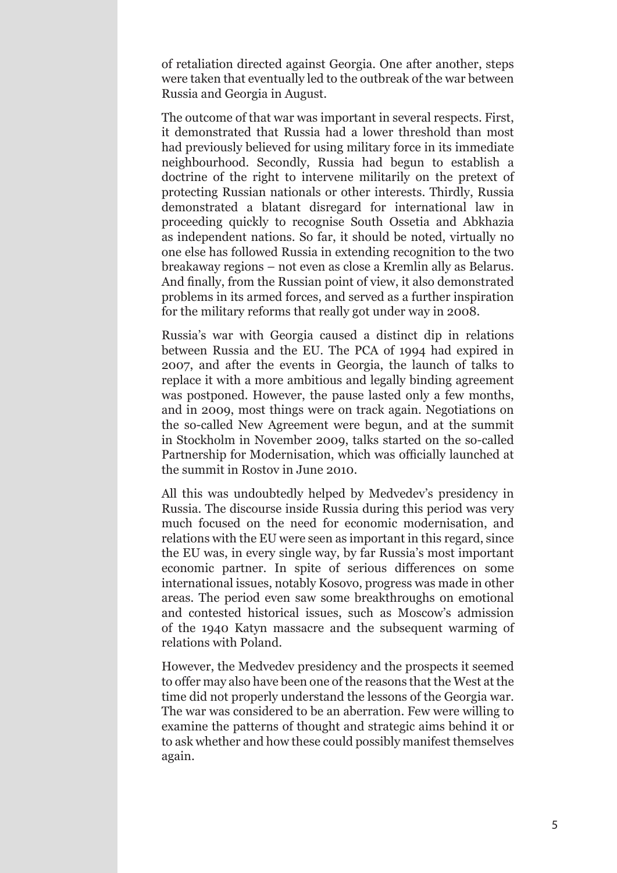of retaliation directed against Georgia. One after another, steps were taken that eventually led to the outbreak of the war between Russia and Georgia in August.

The outcome of that war was important in several respects. First, it demonstrated that Russia had a lower threshold than most had previously believed for using military force in its immediate neighbourhood. Secondly, Russia had begun to establish a doctrine of the right to intervene militarily on the pretext of protecting Russian nationals or other interests. Thirdly, Russia demonstrated a blatant disregard for international law in proceeding quickly to recognise South Ossetia and Abkhazia as independent nations. So far, it should be noted, virtually no one else has followed Russia in extending recognition to the two breakaway regions – not even as close a Kremlin ally as Belarus. And finally, from the Russian point of view, it also demonstrated problems in its armed forces, and served as a further inspiration for the military reforms that really got under way in 2008.

Russia's war with Georgia caused a distinct dip in relations between Russia and the EU. The PCA of 1994 had expired in 2007, and after the events in Georgia, the launch of talks to replace it with a more ambitious and legally binding agreement was postponed. However, the pause lasted only a few months, and in 2009, most things were on track again. Negotiations on the so-called New Agreement were begun, and at the summit in Stockholm in November 2009, talks started on the so-called Partnership for Modernisation, which was officially launched at the summit in Rostov in June 2010.

All this was undoubtedly helped by Medvedev's presidency in Russia. The discourse inside Russia during this period was very much focused on the need for economic modernisation, and relations with the EU were seen as important in this regard, since the EU was, in every single way, by far Russia's most important economic partner. In spite of serious differences on some international issues, notably Kosovo, progress was made in other areas. The period even saw some breakthroughs on emotional and contested historical issues, such as Moscow's admission of the 1940 Katyn massacre and the subsequent warming of relations with Poland.

However, the Medvedev presidency and the prospects it seemed to offer may also have been one of the reasons that the West at the time did not properly understand the lessons of the Georgia war. The war was considered to be an aberration. Few were willing to examine the patterns of thought and strategic aims behind it or to ask whether and how these could possibly manifest themselves again.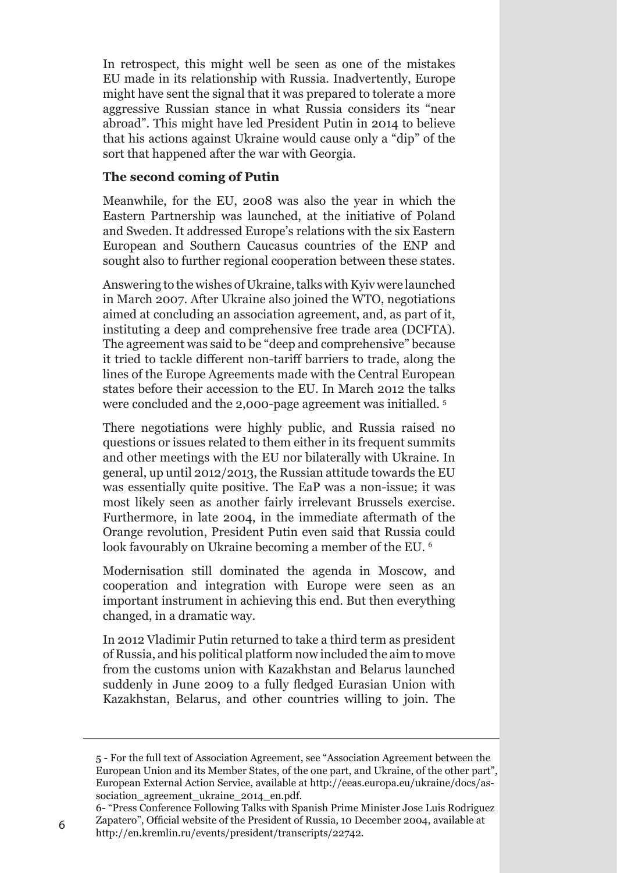In retrospect, this might well be seen as one of the mistakes EU made in its relationship with Russia. Inadvertently, Europe might have sent the signal that it was prepared to tolerate a more aggressive Russian stance in what Russia considers its "near abroad". This might have led President Putin in 2014 to believe that his actions against Ukraine would cause only a "dip" of the sort that happened after the war with Georgia.

### **The second coming of Putin**

Meanwhile, for the EU, 2008 was also the year in which the Eastern Partnership was launched, at the initiative of Poland and Sweden. It addressed Europe's relations with the six Eastern European and Southern Caucasus countries of the ENP and sought also to further regional cooperation between these states.

Answering to the wishes of Ukraine, talks with Kyiv were launched in March 2007. After Ukraine also joined the WTO, negotiations aimed at concluding an association agreement, and, as part of it, instituting a deep and comprehensive free trade area (DCFTA). The agreement was said to be "deep and comprehensive" because it tried to tackle different non-tariff barriers to trade, along the lines of the Europe Agreements made with the Central European states before their accession to the EU. In March 2012 the talks were concluded and the 2,000-page agreement was initialled. <sup>5</sup>

There negotiations were highly public, and Russia raised no questions or issues related to them either in its frequent summits and other meetings with the EU nor bilaterally with Ukraine. In general, up until 2012/2013, the Russian attitude towards the EU was essentially quite positive. The EaP was a non-issue; it was most likely seen as another fairly irrelevant Brussels exercise. Furthermore, in late 2004, in the immediate aftermath of the Orange revolution, President Putin even said that Russia could look favourably on Ukraine becoming a member of the EU. <sup>6</sup>

Modernisation still dominated the agenda in Moscow, and cooperation and integration with Europe were seen as an important instrument in achieving this end. But then everything changed, in a dramatic way.

In 2012 Vladimir Putin returned to take a third term as president of Russia, and his political platform now included the aim to move from the customs union with Kazakhstan and Belarus launched suddenly in June 2009 to a fully fledged Eurasian Union with Kazakhstan, Belarus, and other countries willing to join. The

<sup>5</sup> - For the full text of Association Agreement, see "Association Agreement between the European Union and its Member States, of the one part, and Ukraine, of the other part", European External Action Service, available at http://eeas.europa.eu/ukraine/docs/association\_agreement\_ukraine\_2014\_en.pdf.

<sup>6-</sup> "Press Conference Following Talks with Spanish Prime Minister Jose Luis Rodriguez Zapatero", Official website of the President of Russia, 10 December 2004, available at http://en.kremlin.ru/events/president/transcripts/22742. <sup>6</sup>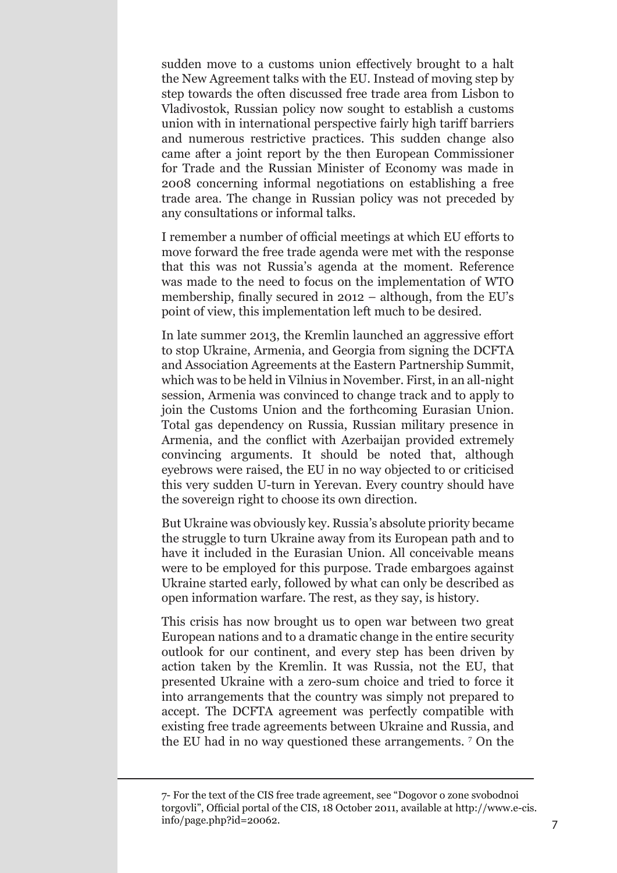sudden move to a customs union effectively brought to a halt the New Agreement talks with the EU. Instead of moving step by step towards the often discussed free trade area from Lisbon to Vladivostok, Russian policy now sought to establish a customs union with in international perspective fairly high tariff barriers and numerous restrictive practices. This sudden change also came after a joint report by the then European Commissioner for Trade and the Russian Minister of Economy was made in 2008 concerning informal negotiations on establishing a free trade area. The change in Russian policy was not preceded by any consultations or informal talks.

I remember a number of official meetings at which EU efforts to move forward the free trade agenda were met with the response that this was not Russia's agenda at the moment. Reference was made to the need to focus on the implementation of WTO membership, finally secured in 2012 – although, from the EU's point of view, this implementation left much to be desired.

In late summer 2013, the Kremlin launched an aggressive effort to stop Ukraine, Armenia, and Georgia from signing the DCFTA and Association Agreements at the Eastern Partnership Summit, which was to be held in Vilnius in November. First, in an all-night session, Armenia was convinced to change track and to apply to join the Customs Union and the forthcoming Eurasian Union. Total gas dependency on Russia, Russian military presence in Armenia, and the conflict with Azerbaijan provided extremely convincing arguments. It should be noted that, although eyebrows were raised, the EU in no way objected to or criticised this very sudden U-turn in Yerevan. Every country should have the sovereign right to choose its own direction.

But Ukraine was obviously key. Russia's absolute priority became the struggle to turn Ukraine away from its European path and to have it included in the Eurasian Union. All conceivable means were to be employed for this purpose. Trade embargoes against Ukraine started early, followed by what can only be described as open information warfare. The rest, as they say, is history.

This crisis has now brought us to open war between two great European nations and to a dramatic change in the entire security outlook for our continent, and every step has been driven by action taken by the Kremlin. It was Russia, not the EU, that presented Ukraine with a zero-sum choice and tried to force it into arrangements that the country was simply not prepared to accept. The DCFTA agreement was perfectly compatible with existing free trade agreements between Ukraine and Russia, and the EU had in no way questioned these arrangements. <sup>7</sup> On the

<sup>7-</sup> For the text of the CIS free trade agreement, see "Dogovor o zone svobodnoi torgovli", Official portal of the CIS, 18 October 2011, available at http://www.e-cis. info/page.php?id=20062. 7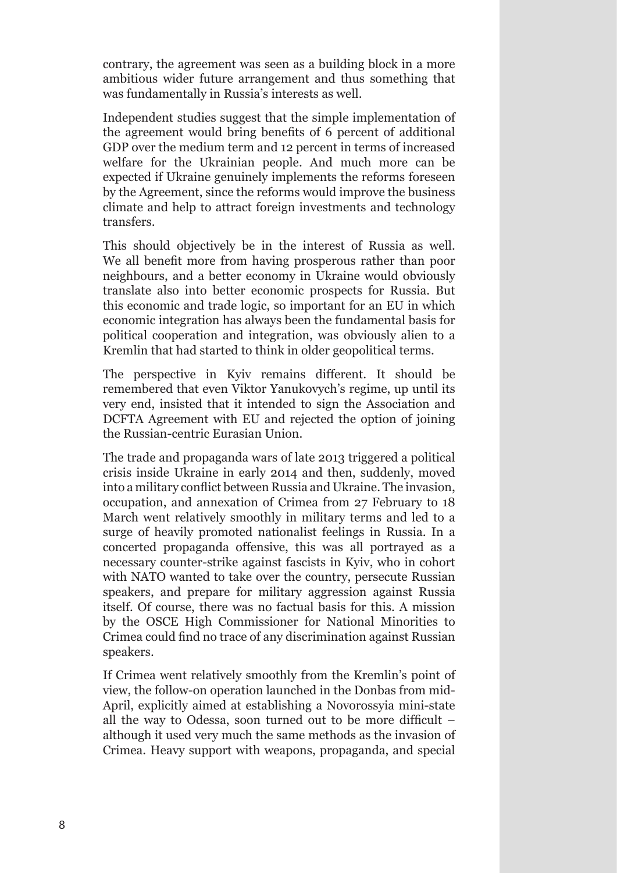contrary, the agreement was seen as a building block in a more ambitious wider future arrangement and thus something that was fundamentally in Russia's interests as well.

Independent studies suggest that the simple implementation of the agreement would bring benefits of 6 percent of additional GDP over the medium term and 12 percent in terms of increased welfare for the Ukrainian people. And much more can be expected if Ukraine genuinely implements the reforms foreseen by the Agreement, since the reforms would improve the business climate and help to attract foreign investments and technology transfers.

This should objectively be in the interest of Russia as well. We all benefit more from having prosperous rather than poor neighbours, and a better economy in Ukraine would obviously translate also into better economic prospects for Russia. But this economic and trade logic, so important for an EU in which economic integration has always been the fundamental basis for political cooperation and integration, was obviously alien to a Kremlin that had started to think in older geopolitical terms.

The perspective in Kyiv remains different. It should be remembered that even Viktor Yanukovych's regime, up until its very end, insisted that it intended to sign the Association and DCFTA Agreement with EU and rejected the option of joining the Russian-centric Eurasian Union.

The trade and propaganda wars of late 2013 triggered a political crisis inside Ukraine in early 2014 and then, suddenly, moved into a military conflict between Russia and Ukraine. The invasion, occupation, and annexation of Crimea from 27 February to 18 March went relatively smoothly in military terms and led to a surge of heavily promoted nationalist feelings in Russia. In a concerted propaganda offensive, this was all portrayed as a necessary counter-strike against fascists in Kyiv, who in cohort with NATO wanted to take over the country, persecute Russian speakers, and prepare for military aggression against Russia itself. Of course, there was no factual basis for this. A mission by the OSCE High Commissioner for National Minorities to Crimea could find no trace of any discrimination against Russian speakers.

If Crimea went relatively smoothly from the Kremlin's point of view, the follow-on operation launched in the Donbas from mid-April, explicitly aimed at establishing a Novorossyia mini-state all the way to Odessa, soon turned out to be more difficult – although it used very much the same methods as the invasion of Crimea. Heavy support with weapons, propaganda, and special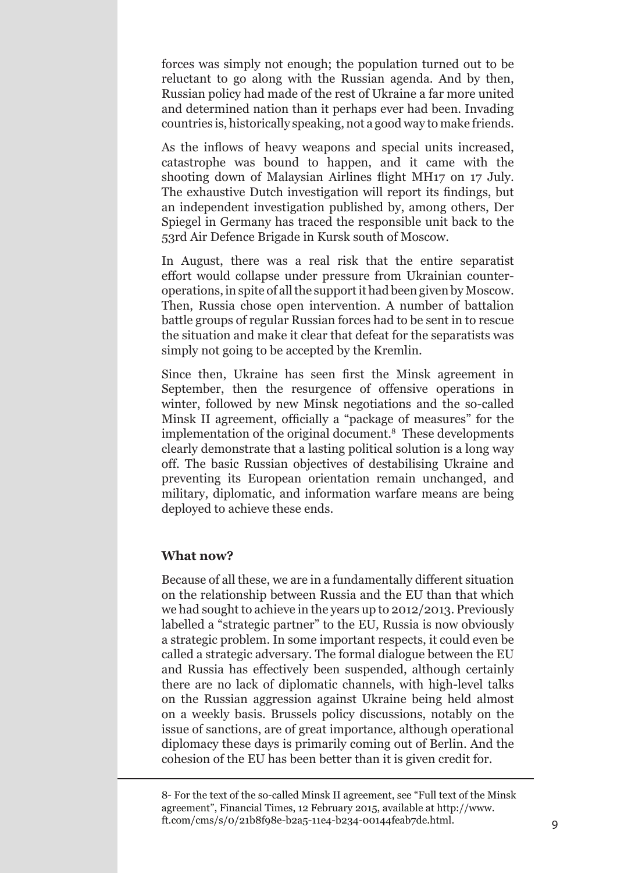forces was simply not enough; the population turned out to be reluctant to go along with the Russian agenda. And by then, Russian policy had made of the rest of Ukraine a far more united and determined nation than it perhaps ever had been. Invading countries is, historically speaking, not a good way to make friends.

As the inflows of heavy weapons and special units increased, catastrophe was bound to happen, and it came with the shooting down of Malaysian Airlines flight MH17 on 17 July. The exhaustive Dutch investigation will report its findings, but an independent investigation published by, among others, Der Spiegel in Germany has traced the responsible unit back to the 53rd Air Defence Brigade in Kursk south of Moscow.

In August, there was a real risk that the entire separatist effort would collapse under pressure from Ukrainian counteroperations, in spite of allthe supportit had been given byMoscow. Then, Russia chose open intervention. A number of battalion battle groups of regular Russian forces had to be sent in to rescue the situation and make it clear that defeat for the separatists was simply not going to be accepted by the Kremlin.

Since then, Ukraine has seen first the Minsk agreement in September, then the resurgence of offensive operations in winter, followed by new Minsk negotiations and the so-called Minsk II agreement, officially a "package of measures" for the implementation of the original document.8 These developments clearly demonstrate that a lasting political solution is a long way off. The basic Russian objectives of destabilising Ukraine and preventing its European orientation remain unchanged, and military, diplomatic, and information warfare means are being deployed to achieve these ends.

#### **What now?**

Because of all these, we are in a fundamentally different situation on the relationship between Russia and the EU than that which we had sought to achieve in the years up to 2012/2013. Previously labelled a "strategic partner" to the EU, Russia is now obviously a strategic problem. In some important respects, it could even be called a strategic adversary. The formal dialogue between the EU and Russia has effectively been suspended, although certainly there are no lack of diplomatic channels, with high-level talks on the Russian aggression against Ukraine being held almost on a weekly basis. Brussels policy discussions, notably on the issue of sanctions, are of great importance, although operational diplomacy these days is primarily coming out of Berlin. And the cohesion of the EU has been better than it is given credit for.

8- For the text of the so-called Minsk II agreement, see "Full text of the Minsk agreement", Financial Times, 12 February 2015, available at http://www. ft.com/cms/s/0/21b8f98e-b2a5-11e4-b234-00144feab7de.html. 9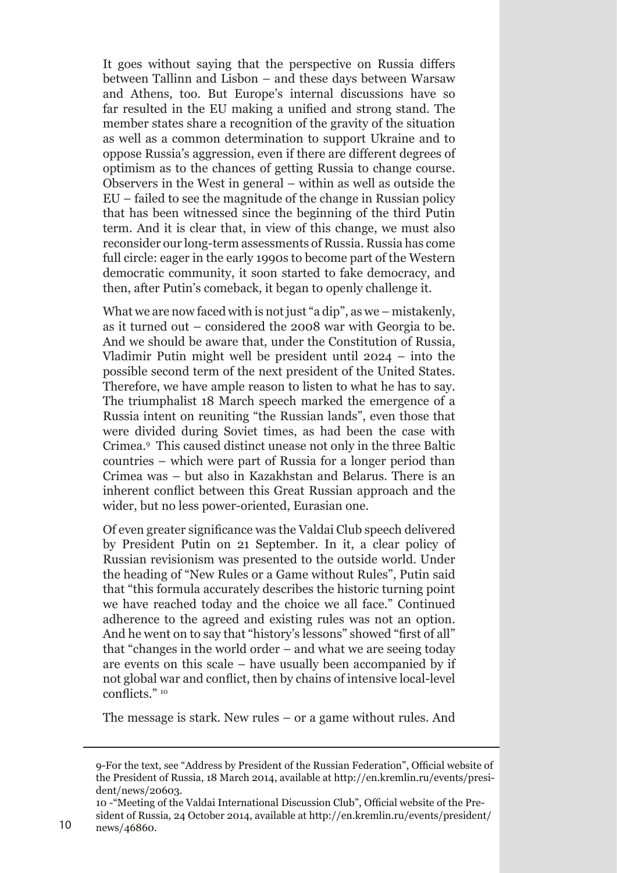It goes without saying that the perspective on Russia differs between Tallinn and Lisbon – and these days between Warsaw and Athens, too. But Europe's internal discussions have so far resulted in the EU making a unified and strong stand. The member states share a recognition of the gravity of the situation as well as a common determination to support Ukraine and to oppose Russia's aggression, even if there are different degrees of optimism as to the chances of getting Russia to change course. Observers in the West in general – within as well as outside the EU – failed to see the magnitude of the change in Russian policy that has been witnessed since the beginning of the third Putin term. And it is clear that, in view of this change, we must also reconsider our long-term assessments of Russia. Russia has come full circle: eager in the early 1990s to become part of the Western democratic community, it soon started to fake democracy, and then, after Putin's comeback, it began to openly challenge it.

What we are now faced with is not just "a dip", as we – mistakenly, as it turned out – considered the 2008 war with Georgia to be. And we should be aware that, under the Constitution of Russia, Vladimir Putin might well be president until 2024 – into the possible second term of the next president of the United States. Therefore, we have ample reason to listen to what he has to say. The triumphalist 18 March speech marked the emergence of a Russia intent on reuniting "the Russian lands", even those that were divided during Soviet times, as had been the case with Crimea.9 This caused distinct unease not only in the three Baltic countries – which were part of Russia for a longer period than Crimea was – but also in Kazakhstan and Belarus. There is an inherent conflict between this Great Russian approach and the wider, but no less power-oriented, Eurasian one.

Of even greater significance was the Valdai Club speech delivered by President Putin on 21 September. In it, a clear policy of Russian revisionism was presented to the outside world. Under the heading of "New Rules or a Game without Rules", Putin said that "this formula accurately describes the historic turning point we have reached today and the choice we all face." Continued adherence to the agreed and existing rules was not an option. And he went on to say that "history's lessons" showed "first of all" that "changes in the world order – and what we are seeing today are events on this scale – have usually been accompanied by if not global war and conflict, then by chains of intensive local-level conflicts." <sup>10</sup>

The message is stark. New rules – or a game without rules. And

<sup>9-</sup>For the text, see "Address by President of the Russian Federation", Official website of the President of Russia, 18 March 2014, available at http://en.kremlin.ru/events/president/news/20603.

<sup>10</sup> -"Meeting of the Valdai International Discussion Club", Official website of the President of Russia, 24 October 2014, available at http://en.kremlin.ru/events/president/<br>10 news/46860.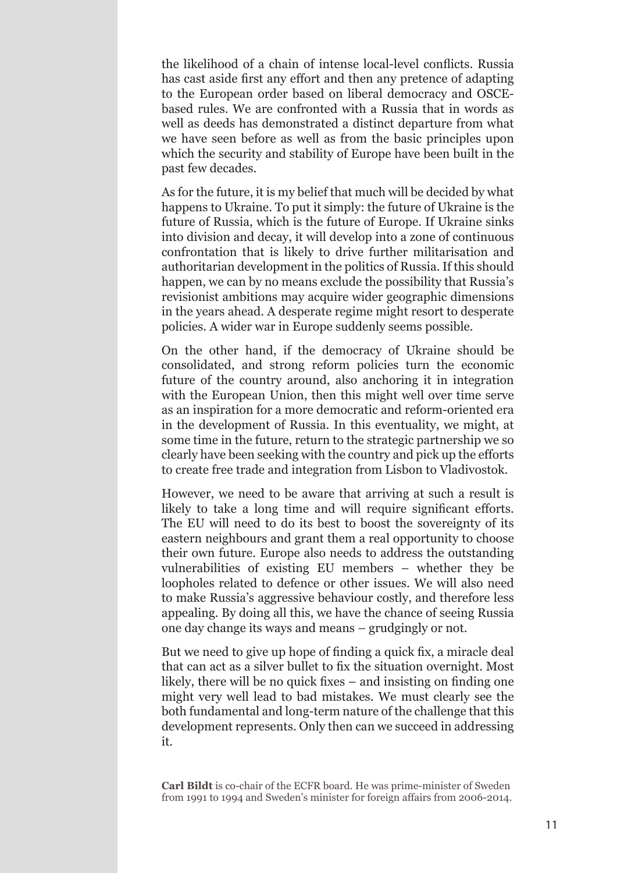the likelihood of a chain of intense local-level conflicts. Russia has cast aside first any effort and then any pretence of adapting to the European order based on liberal democracy and OSCEbased rules. We are confronted with a Russia that in words as well as deeds has demonstrated a distinct departure from what we have seen before as well as from the basic principles upon which the security and stability of Europe have been built in the past few decades.

As for the future, it is my belief that much will be decided by what happens to Ukraine. To put it simply: the future of Ukraine is the future of Russia, which is the future of Europe. If Ukraine sinks into division and decay, it will develop into a zone of continuous confrontation that is likely to drive further militarisation and authoritarian development in the politics of Russia. If this should happen, we can by no means exclude the possibility that Russia's revisionist ambitions may acquire wider geographic dimensions in the years ahead. A desperate regime might resort to desperate policies. A wider war in Europe suddenly seems possible.

On the other hand, if the democracy of Ukraine should be consolidated, and strong reform policies turn the economic future of the country around, also anchoring it in integration with the European Union, then this might well over time serve as an inspiration for a more democratic and reform-oriented era in the development of Russia. In this eventuality, we might, at some time in the future, return to the strategic partnership we so clearly have been seeking with the country and pick up the efforts to create free trade and integration from Lisbon to Vladivostok.

However, we need to be aware that arriving at such a result is likely to take a long time and will require significant efforts. The EU will need to do its best to boost the sovereignty of its eastern neighbours and grant them a real opportunity to choose their own future. Europe also needs to address the outstanding vulnerabilities of existing EU members – whether they be loopholes related to defence or other issues. We will also need to make Russia's aggressive behaviour costly, and therefore less appealing. By doing all this, we have the chance of seeing Russia one day change its ways and means – grudgingly or not.

But we need to give up hope of finding a quick fix, a miracle deal that can act as a silver bullet to fix the situation overnight. Most likely, there will be no quick fixes – and insisting on finding one might very well lead to bad mistakes. We must clearly see the both fundamental and long-term nature of the challenge that this development represents. Only then can we succeed in addressing it.

**Carl Bildt** is co-chair of the ECFR board. He was prime-minister of Sweden from 1991 to 1994 and Sweden's minister for foreign affairs from 2006-2014.